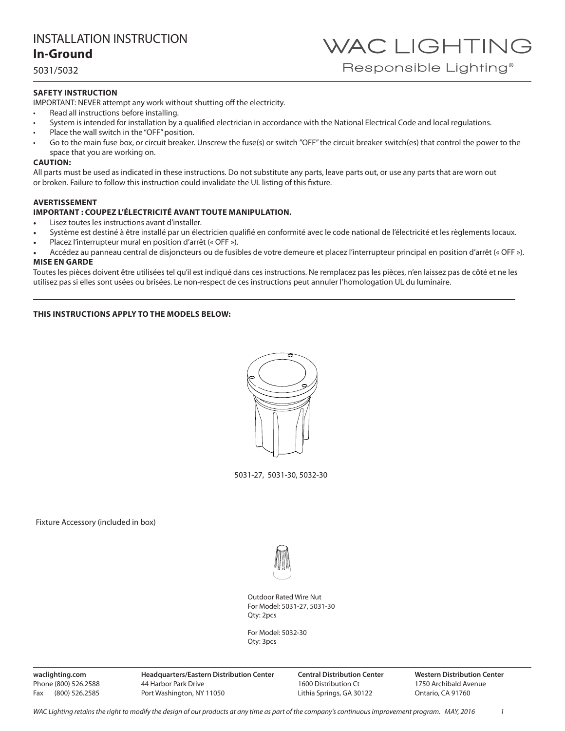5031/5032

### **SAFETY INSTRUCTION**

IMPORTANT: NEVER attempt any work without shutting off the electricity.

- Read all instructions before installing.
- System is intended for installation by a qualified electrician in accordance with the National Electrical Code and local regulations.
- Place the wall switch in the "OFF" position.
- Go to the main fuse box, or circuit breaker. Unscrew the fuse(s) or switch "OFF" the circuit breaker switch(es) that control the power to the space that you are working on.

### **CAUTION:**

All parts must be used as indicated in these instructions. Do not substitute any parts, leave parts out, or use any parts that are worn out or broken. Failure to follow this instruction could invalidate the UL listing of this fixture.

### **AVERTISSEMENT**

### **IMPORTANT : COUPEZ L'ÉLECTRICITÉ AVANT TOUTE MANIPULATION.**

- Lisez toutes les instructions avant d'installer.
- Système est destiné à être installé par un électricien qualifié en conformité avec le code national de l'électricité et les règlements locaux.
- Placez l'interrupteur mural en position d'arrêt (« OFF »).
- Accédez au panneau central de disjoncteurs ou de fusibles de votre demeure et placez l'interrupteur principal en position d'arrêt (« OFF »). **MISE EN GARDE**

Toutes les pièces doivent être utilisées tel qu'il est indiqué dans ces instructions. Ne remplacez pas les pièces, n'en laissez pas de côté et ne les utilisez pas si elles sont usées ou brisées. Le non-respect de ces instructions peut annuler l'homologation UL du luminaire.

### **THIS INSTRUCTIONS APPLY TO THE MODELS BELOW:**



5031-27, 5031-30, 5032-30

Fixture Accessory (included in box)



Outdoor Rated Wire Nut For Model: 5031-27, 5031-30 Qty: 2pcs

For Model: 5032-30 Qty: 3pcs

**waclighting.com** Phone (800) 526.2588 Fax (800) 526.2585 **Headquarters/Eastern Distribution Center** 44 Harbor Park Drive Port Washington, NY 11050

**Central Distribution Center** 1600 Distribution Ct Lithia Springs, GA 30122

**Western Distribution Center**  1750 Archibald Avenue Ontario, CA 91760

WAC LIGHTING

Responsible Lighting<sup>®</sup>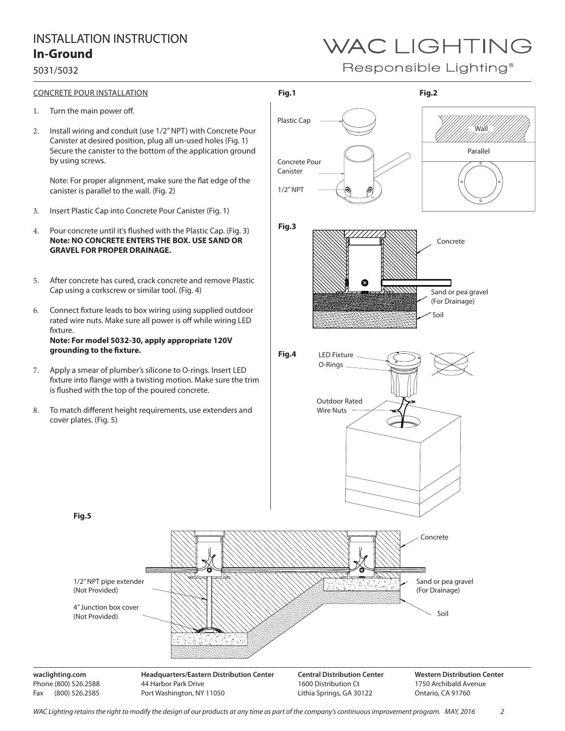### 5031/5032

# WAC LIGHTING

Responsible Lighting<sup>®</sup>

- 1. Turn the main power off.
- 2. Install wiring and conduit (use 1/2" NPT) with Concrete Pour Canister at desired position, plug all un-used holes (Fig. 1) Secure the canister to the bottom of the application ground by using screws.

Note: For proper alignment, make sure the flat edge of the canister is parallel to the wall. (Fig. 2)

- 3. Insert Plastic Cap into Concrete Pour Canister (Fig. 1)
- 4. Pour concrete until it's flushed with the Plastic Cap. (Fig. 3) **Note: NO CONCRETE ENTERS THE BOX. USE SAND OR GRAVEL FOR PROPER DRAINAGE.**
- 5. After concrete has cured, crack concrete and remove Plastic Cap using a corkscrew or similar tool. (Fig. 4)
- 6. Connect fixture leads to box wiring using supplied outdoor rated wire nuts. Make sure all power is off while wiring LED fixture. **Note: For model 5032-30, apply appropriate 120V grounding to the fixture.**
- 7. Apply a smear of plumber's silicone to O-rings. Insert LED fixture into flange with a twisting motion. Make sure the trim is flushed with the top of the poured concrete.
- 8. To match different height requirements, use extenders and cover plates. (Fig. 5)

44 Harbor Park Drive Port Washington, NY 11050



**Fig.5**

1/2" NPT pipe extender (Not Provided)

4" Junction box cover (Not Provided)

**waclighting.com** Phone (800) 526.2588 Fax (800) 526.2585

Lithia Springs, GA 30122

Ontario, CA 91760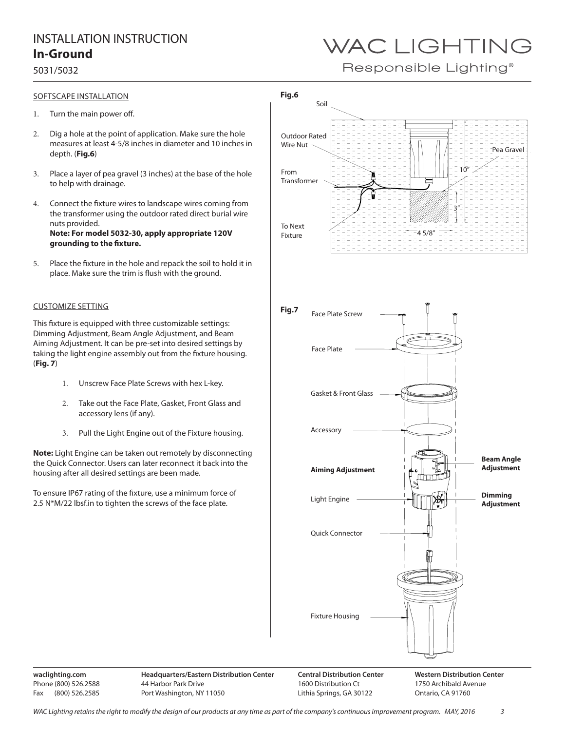### 5031/5032

### SOFTSCAPE INSTALLATION

- 1. Turn the main power off.
- 2. Dig a hole at the point of application. Make sure the hole measures at least 4-5/8 inches in diameter and 10 inches in depth. (**Fig.6**)
- 3. Place a layer of pea gravel (3 inches) at the base of the hole to help with drainage.
- 4. Connect the fixture wires to landscape wires coming from the transformer using the outdoor rated direct burial wire nuts provided. **Note: For model 5032-30, apply appropriate 120V grounding to the fixture.**
- 5. Place the fixture in the hole and repack the soil to hold it in place. Make sure the trim is flush with the ground.

### CUSTOMIZE SETTING

This fixture is equipped with three customizable settings: Dimming Adjustment, Beam Angle Adjustment, and Beam Aiming Adjustment. It can be pre-set into desired settings by taking the light engine assembly out from the fixture housing. (**Fig. 7**)

- 1. Unscrew Face Plate Screws with hex L-key.
- 2. Take out the Face Plate, Gasket, Front Glass and accessory lens (if any).
- 3. Pull the Light Engine out of the Fixture housing.

**Note:** Light Engine can be taken out remotely by disconnecting the Quick Connector. Users can later reconnect it back into the housing after all desired settings are been made.

To ensure IP67 rating of the fixture, use a minimum force of 2.5 N\*M/22 lbsf.in to tighten the screws of the face plate.



**waclighting.com** Phone (800) 526.2588 Fax (800) 526.2585 **Headquarters/Eastern Distribution Center** 44 Harbor Park Drive Port Washington, NY 11050

1600 Distribution Ct Lithia Springs, GA 30122 **Western Distribution Center**  1750 Archibald Avenue Ontario, CA 91760

# WAC LIGHTING

Responsible Lighting<sup>®</sup>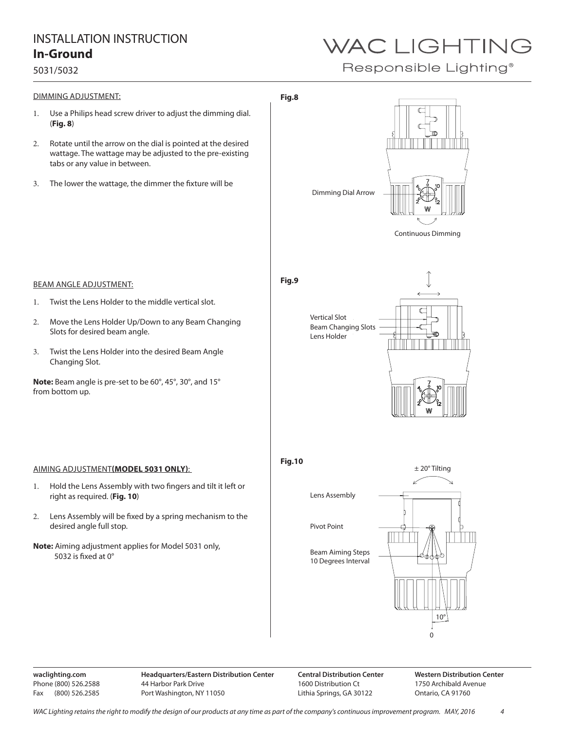### 5031/5032

# WAC LIGHTING

Responsible Lighting<sup>®</sup>



**waclighting.com** Phone (800) 526.2588 Fax (800) 526.2585

**Central Distribution Center** 1600 Distribution Ct Lithia Springs, GA 30122

**Western Distribution Center**  1750 Archibald Avenue Ontario, CA 91760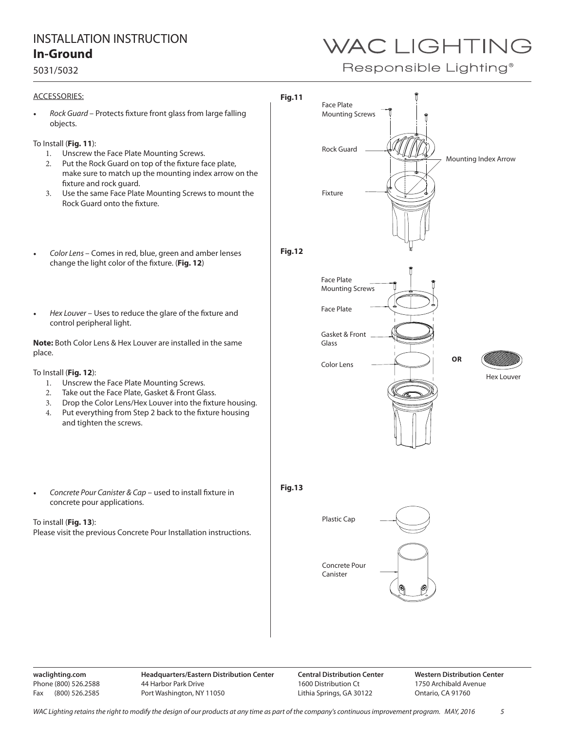### 5031/5032

### ACCESSORIES:

*• Rock Guard* – Protects fixture front glass from large falling objects.

### To Install (**Fig. 11**):

- 1. Unscrew the Face Plate Mounting Screws.
- 2. Put the Rock Guard on top of the fixture face plate, make sure to match up the mounting index arrow on the fixture and rock guard.
- 3. Use the same Face Plate Mounting Screws to mount the Rock Guard onto the fixture.
- *• Color Lens*  Comes in red, blue, green and amber lenses change the light color of the fixture. (**Fig. 12**)
- *• Hex Louver* Uses to reduce the glare of the fixture and control peripheral light.

**Note:** Both Color Lens & Hex Louver are installed in the same place.

#### To Install (**Fig. 12**):

- 1. Unscrew the Face Plate Mounting Screws.
- 2. Take out the Face Plate, Gasket & Front Glass.
- 3. Drop the Color Lens/Hex Louver into the fixture housing.
- 4. Put everything from Step 2 back to the fixture housing and tighten the screws.
- *• Concrete Pour Canister & Cap* used to install fixture in concrete pour applications.

To install (**Fig. 13**): Please visit the previous Concrete Pour Installation instructions.



**waclighting.com** Phone (800) 526.2588 Fax (800) 526.2585 **Headquarters/Eastern Distribution Center** 44 Harbor Park Drive Port Washington, NY 11050

**Central Distribution Center** 1600 Distribution Ct Lithia Springs, GA 30122

**Western Distribution Center**  1750 Archibald Avenue Ontario, CA 91760

# WAC LIGHTING

Responsible Lighting<sup>®</sup>